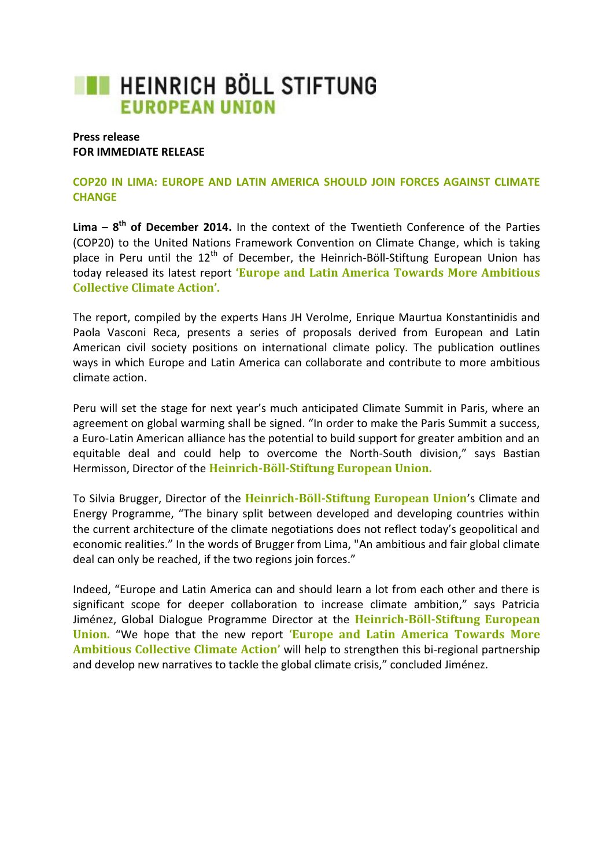## **THE HEINRICH BÖLL STIFTUNG EUROPEAN UNION**

## **Press release FOR IMMEDIATE RELEASE**

## **COP20 IN LIMA: EUROPE AND LATIN AMERICA SHOULD JOIN FORCES AGAINST CLIMATE CHANGE**

**Lima – 8<sup>th</sup> of December 2014.** In the context of the Twentieth Conference of the Parties (COP20) to the United Nations Framework Convention on Climate Change, which is taking place in Peru until the  $12<sup>th</sup>$  of December, the Heinrich-Böll-Stiftung European Union has today released its latest report **'Europe and Latin America Towards More Ambitious Collective Climate Action'.**

The report, compiled by the experts Hans JH Verolme, Enrique Maurtua Konstantinidis and Paola Vasconi Reca, presents a series of proposals derived from European and Latin American civil society positions on international climate policy. The publication outlines ways in which Europe and Latin America can collaborate and contribute to more ambitious climate action.

Peru will set the stage for next year's much anticipated Climate Summit in Paris, where an agreement on global warming shall be signed. "In order to make the Paris Summit a success, a Euro-Latin American alliance has the potential to build support for greater ambition and an equitable deal and could help to overcome the North-South division," says Bastian Hermisson, Director of the **Heinrich-Böll-Stiftung European Union.**

To Silvia Brugger, Director of the **Heinrich-Böll-Stiftung European Union**'s Climate and Energy Programme, "The binary split between developed and developing countries within the current architecture of the climate negotiations does not reflect today's geopolitical and economic realities." In the words of Brugger from Lima, "An ambitious and fair global climate deal can only be reached, if the two regions join forces."

Indeed, "Europe and Latin America can and should learn a lot from each other and there is significant scope for deeper collaboration to increase climate ambition," says Patricia Jiménez, Global Dialogue Programme Director at the **Heinrich-Böll-Stiftung European Union.** "We hope that the new report **'Europe and Latin America Towards More Ambitious Collective Climate Action'** will help to strengthen this bi-regional partnership and develop new narratives to tackle the global climate crisis," concluded Jiménez.